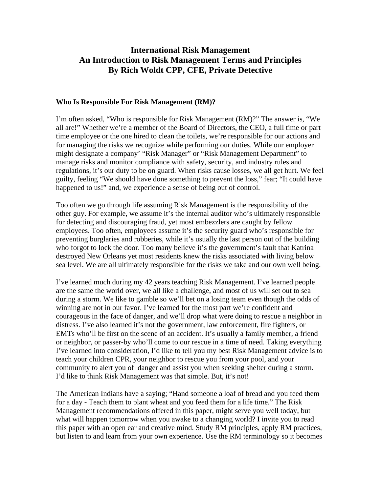# **International Risk Management An Introduction to Risk Management Terms and Principles By Rich Woldt CPP, CFE, Private Detective**

#### **Who Is Responsible For Risk Management (RM)?**

I'm often asked, "Who is responsible for Risk Management (RM)?" The answer is, "We all are!" Whether we're a member of the Board of Directors, the CEO, a full time or part time employee or the one hired to clean the toilets, we're responsible for our actions and for managing the risks we recognize while performing our duties. While our employer might designate a company' "Risk Manager" or "Risk Management Department" to manage risks and monitor compliance with safety, security, and industry rules and regulations, it's our duty to be on guard. When risks cause losses, we all get hurt. We feel guilty, feeling "We should have done something to prevent the loss," fear; "It could have happened to us!" and, we experience a sense of being out of control.

Too often we go through life assuming Risk Management is the responsibility of the other guy. For example, we assume it's the internal auditor who's ultimately responsible for detecting and discouraging fraud, yet most embezzlers are caught by fellow employees. Too often, employees assume it's the security guard who's responsible for preventing burglaries and robberies, while it's usually the last person out of the building who forgot to lock the door. Too many believe it's the government's fault that Katrina destroyed New Orleans yet most residents knew the risks associated with living below sea level. We are all ultimately responsible for the risks we take and our own well being.

I've learned much during my 42 years teaching Risk Management. I've learned people are the same the world over, we all like a challenge, and most of us will set out to sea during a storm. We like to gamble so we'll bet on a losing team even though the odds of winning are not in our favor. I've learned for the most part we're confident and courageous in the face of danger, and we'll drop what were doing to rescue a neighbor in distress. I've also learned it's not the government, law enforcement, fire fighters, or EMTs who'll be first on the scene of an accident. It's usually a family member, a friend or neighbor, or passer-by who'll come to our rescue in a time of need. Taking everything I've learned into consideration, I'd like to tell you my best Risk Management advice is to teach your children CPR, your neighbor to rescue you from your pool, and your community to alert you of danger and assist you when seeking shelter during a storm. I'd like to think Risk Management was that simple. But, it's not!

The American Indians have a saying; "Hand someone a loaf of bread and you feed them for a day - Teach them to plant wheat and you feed them for a life time." The Risk Management recommendations offered in this paper, might serve you well today, but what will happen tomorrow when you awake to a changing world? I invite you to read this paper with an open ear and creative mind. Study RM principles, apply RM practices, but listen to and learn from your own experience. Use the RM terminology so it becomes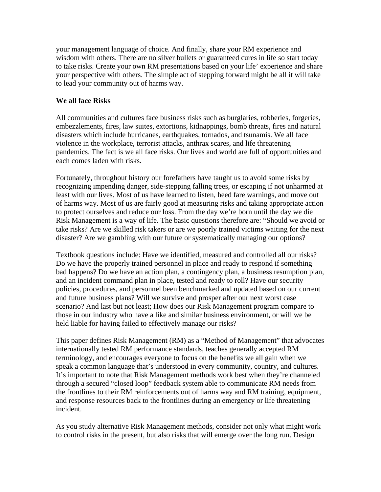your management language of choice. And finally, share your RM experience and wisdom with others. There are no silver bullets or guaranteed cures in life so start today to take risks. Create your own RM presentations based on your life' experience and share your perspective with others. The simple act of stepping forward might be all it will take to lead your community out of harms way.

#### **We all face Risks**

All communities and cultures face business risks such as burglaries, robberies, forgeries, embezzlements, fires, law suites, extortions, kidnappings, bomb threats, fires and natural disasters which include hurricanes, earthquakes, tornados, and tsunamis. We all face violence in the workplace, terrorist attacks, anthrax scares, and life threatening pandemics. The fact is we all face risks. Our lives and world are full of opportunities and each comes laden with risks.

Fortunately, throughout history our forefathers have taught us to avoid some risks by recognizing impending danger, side-stepping falling trees, or escaping if not unharmed at least with our lives. Most of us have learned to listen, heed fare warnings, and move out of harms way. Most of us are fairly good at measuring risks and taking appropriate action to protect ourselves and reduce our loss. From the day we're born until the day we die Risk Management is a way of life. The basic questions therefore are: "Should we avoid or take risks? Are we skilled risk takers or are we poorly trained victims waiting for the next disaster? Are we gambling with our future or systematically managing our options?

Textbook questions include: Have we identified, measured and controlled all our risks? Do we have the properly trained personnel in place and ready to respond if something bad happens? Do we have an action plan, a contingency plan, a business resumption plan, and an incident command plan in place, tested and ready to roll? Have our security policies, procedures, and personnel been benchmarked and updated based on our current and future business plans? Will we survive and prosper after our next worst case scenario? And last but not least; How does our Risk Management program compare to those in our industry who have a like and similar business environment, or will we be held liable for having failed to effectively manage our risks?

This paper defines Risk Management (RM) as a "Method of Management" that advocates internationally tested RM performance standards, teaches generally accepted RM terminology, and encourages everyone to focus on the benefits we all gain when we speak a common language that's understood in every community, country, and cultures. It's important to note that Risk Management methods work best when they're channeled through a secured "closed loop" feedback system able to communicate RM needs from the frontlines to their RM reinforcements out of harms way and RM training, equipment, and response resources back to the frontlines during an emergency or life threatening incident.

As you study alternative Risk Management methods, consider not only what might work to control risks in the present, but also risks that will emerge over the long run. Design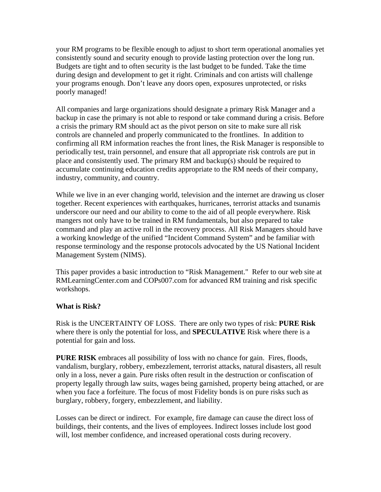your RM programs to be flexible enough to adjust to short term operational anomalies yet consistently sound and security enough to provide lasting protection over the long run. Budgets are tight and to often security is the last budget to be funded. Take the time during design and development to get it right. Criminals and con artists will challenge your programs enough. Don't leave any doors open, exposures unprotected, or risks poorly managed!

All companies and large organizations should designate a primary Risk Manager and a backup in case the primary is not able to respond or take command during a crisis. Before a crisis the primary RM should act as the pivot person on site to make sure all risk controls are channeled and properly communicated to the frontlines. In addition to confirming all RM information reaches the front lines, the Risk Manager is responsible to periodically test, train personnel, and ensure that all appropriate risk controls are put in place and consistently used. The primary RM and backup(s) should be required to accumulate continuing education credits appropriate to the RM needs of their company, industry, community, and country.

While we live in an ever changing world, television and the internet are drawing us closer together. Recent experiences with earthquakes, hurricanes, terrorist attacks and tsunamis underscore our need and our ability to come to the aid of all people everywhere. Risk mangers not only have to be trained in RM fundamentals, but also prepared to take command and play an active roll in the recovery process. All Risk Managers should have a working knowledge of the unified "Incident Command System" and be familiar with response terminology and the response protocols advocated by the US National Incident Management System (NIMS).

This paper provides a basic introduction to "Risk Management." Refer to our web site at RMLearningCenter.com and COPs007.com for advanced RM training and risk specific workshops.

## **What is Risk?**

Risk is the UNCERTAINTY OF LOSS. There are only two types of risk: **PURE Risk** where there is only the potential for loss, and **SPECULATIVE** Risk where there is a potential for gain and loss.

**PURE RISK** embraces all possibility of loss with no chance for gain. Fires, floods, vandalism, burglary, robbery, embezzlement, terrorist attacks, natural disasters, all result only in a loss, never a gain. Pure risks often result in the destruction or confiscation of property legally through law suits, wages being garnished, property being attached, or are when you face a forfeiture. The focus of most Fidelity bonds is on pure risks such as burglary, robbery, forgery, embezzlement, and liability.

Losses can be direct or indirect. For example, fire damage can cause the direct loss of buildings, their contents, and the lives of employees. Indirect losses include lost good will, lost member confidence, and increased operational costs during recovery.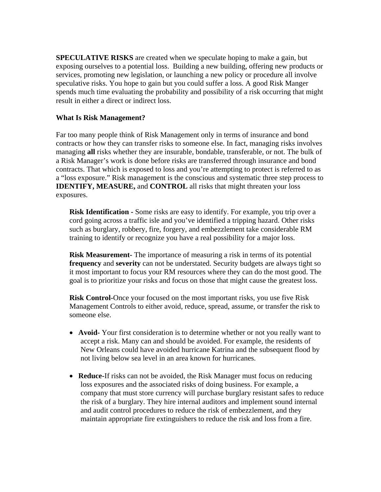**SPECULATIVE RISKS** are created when we speculate hoping to make a gain, but exposing ourselves to a potential loss. Building a new building, offering new products or services, promoting new legislation, or launching a new policy or procedure all involve speculative risks. You hope to gain but you could suffer a loss. A good Risk Manger spends much time evaluating the probability and possibility of a risk occurring that might result in either a direct or indirect loss.

#### **What Is Risk Management?**

Far too many people think of Risk Management only in terms of insurance and bond contracts or how they can transfer risks to someone else. In fact, managing risks involves managing **all** risks whether they are insurable, bondable, transferable, or not. The bulk of a Risk Manager's work is done before risks are transferred through insurance and bond contracts. That which is exposed to loss and you're attempting to protect is referred to as a "loss exposure." Risk management is the conscious and systematic three step process to **IDENTIFY, MEASURE,** and **CONTROL** all risks that might threaten your loss exposures.

**Risk Identification -** Some risks are easy to identify. For example, you trip over a cord going across a traffic isle and you've identified a tripping hazard. Other risks such as burglary, robbery, fire, forgery, and embezzlement take considerable RM training to identify or recognize you have a real possibility for a major loss.

**Risk Measurement-** The importance of measuring a risk in terms of its potential **frequency** and **severity** can not be understated. Security budgets are always tight so it most important to focus your RM resources where they can do the most good. The goal is to prioritize your risks and focus on those that might cause the greatest loss.

**Risk Control-**Once your focused on the most important risks, you use five Risk Management Controls to either avoid, reduce, spread, assume, or transfer the risk to someone else.

- **Avoid-** Your first consideration is to determine whether or not you really want to accept a risk. Many can and should be avoided. For example, the residents of New Orleans could have avoided hurricane Katrina and the subsequent flood by not living below sea level in an area known for hurricanes.
- **Reduce-**If risks can not be avoided, the Risk Manager must focus on reducing loss exposures and the associated risks of doing business. For example, a company that must store currency will purchase burglary resistant safes to reduce the risk of a burglary. They hire internal auditors and implement sound internal and audit control procedures to reduce the risk of embezzlement, and they maintain appropriate fire extinguishers to reduce the risk and loss from a fire.